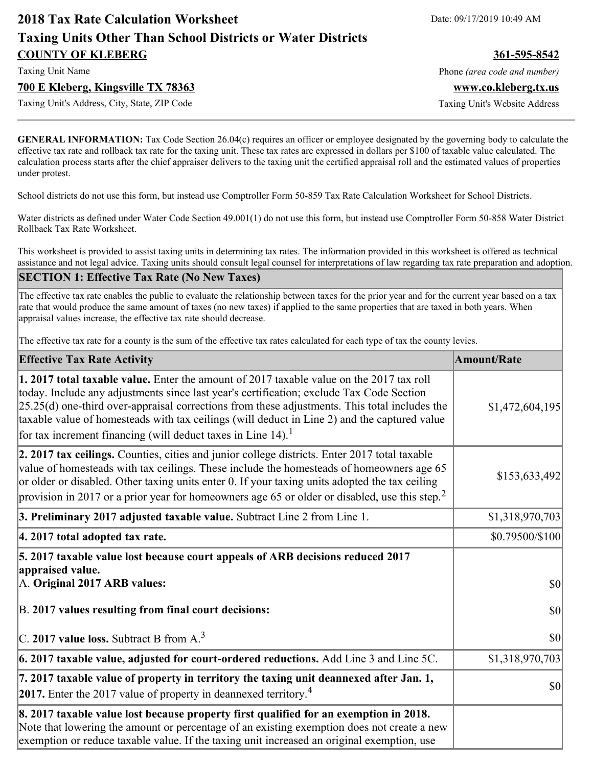# **2018 Tax Rate Calculation Worksheet** Date: 09/17/2019 10:49 AM **Taxing Units Other Than School Districts or Water Districts COUNTY OF KLEBERG 361-595-8542**

#### **700 E Kleberg, Kingsville TX 78363 www.co.kleberg.tx.us**

Taxing Unit's Address, City, State, ZIP Code Taxing Unit's Website Address

Taxing Unit Name **Phone** *(area code and number)* Phone *(area code and number)* 

**GENERAL INFORMATION:** Tax Code Section 26.04(c) requires an officer or employee designated by the governing body to calculate the effective tax rate and rollback tax rate for the taxing unit. These tax rates are expressed in dollars per \$100 of taxable value calculated. The calculation process starts after the chief appraiser delivers to the taxing unit the certified appraisal roll and the estimated values of properties under protest.

School districts do not use this form, but instead use Comptroller Form 50-859 Tax Rate Calculation Worksheet for School Districts.

Water districts as defined under Water Code Section 49.001(1) do not use this form, but instead use Comptroller Form 50-858 Water District Rollback Tax Rate Worksheet.

This worksheet is provided to assist taxing units in determining tax rates. The information provided in this worksheet is offered as technical assistance and not legal advice. Taxing units should consult legal counsel for interpretations of law regarding tax rate preparation and adoption.

#### **SECTION 1: Effective Tax Rate (No New Taxes)**

The effective tax rate enables the public to evaluate the relationship between taxes for the prior year and for the current year based on a tax rate that would produce the same amount of taxes (no new taxes) if applied to the same properties that are taxed in both years. When appraisal values increase, the effective tax rate should decrease.

The effective tax rate for a county is the sum of the effective tax rates calculated for each type of tax the county levies.

| <b>Effective Tax Rate Activity</b>                                                                                                                                                                                                                                                                                                                                                                                                                                   | <b>Amount/Rate</b> |
|----------------------------------------------------------------------------------------------------------------------------------------------------------------------------------------------------------------------------------------------------------------------------------------------------------------------------------------------------------------------------------------------------------------------------------------------------------------------|--------------------|
| 1. 2017 total taxable value. Enter the amount of 2017 taxable value on the 2017 tax roll<br>today. Include any adjustments since last year's certification; exclude Tax Code Section<br>$[25.25(d)$ one-third over-appraisal corrections from these adjustments. This total includes the<br>taxable value of homesteads with tax ceilings (will deduct in Line 2) and the captured value<br>for tax increment financing (will deduct taxes in Line 14). <sup>1</sup> | \$1,472,604,195    |
| 2. 2017 tax ceilings. Counties, cities and junior college districts. Enter 2017 total taxable<br>value of homesteads with tax ceilings. These include the homesteads of homeowners age 65<br>or older or disabled. Other taxing units enter 0. If your taxing units adopted the tax ceiling<br>provision in 2017 or a prior year for homeowners age 65 or older or disabled, use this step. <sup>2</sup>                                                             | \$153,633,492      |
| 3. Preliminary 2017 adjusted taxable value. Subtract Line 2 from Line 1.                                                                                                                                                                                                                                                                                                                                                                                             | \$1,318,970,703    |
| 4. 2017 total adopted tax rate.                                                                                                                                                                                                                                                                                                                                                                                                                                      | \$0.79500/\$100    |
| 5. 2017 taxable value lost because court appeals of ARB decisions reduced 2017<br>appraised value.                                                                                                                                                                                                                                                                                                                                                                   |                    |
| A. Original 2017 ARB values:                                                                                                                                                                                                                                                                                                                                                                                                                                         | $ 10\rangle$       |
| B. 2017 values resulting from final court decisions:                                                                                                                                                                                                                                                                                                                                                                                                                 | $ 10\rangle$       |
| C. 2017 value loss. Subtract B from A. <sup>3</sup>                                                                                                                                                                                                                                                                                                                                                                                                                  | $ 10\rangle$       |
| $\vert$ 6. 2017 taxable value, adjusted for court-ordered reductions. Add Line 3 and Line 5C.                                                                                                                                                                                                                                                                                                                                                                        | \$1,318,970,703    |
| 7. 2017 taxable value of property in territory the taxing unit deannexed after Jan. 1,<br><b>2017.</b> Enter the 2017 value of property in deannexed territory. <sup>4</sup>                                                                                                                                                                                                                                                                                         | $ 10\rangle$       |
| 8. 2017 taxable value lost because property first qualified for an exemption in 2018.<br>Note that lowering the amount or percentage of an existing exemption does not create a new<br>exemption or reduce taxable value. If the taxing unit increased an original exemption, use                                                                                                                                                                                    |                    |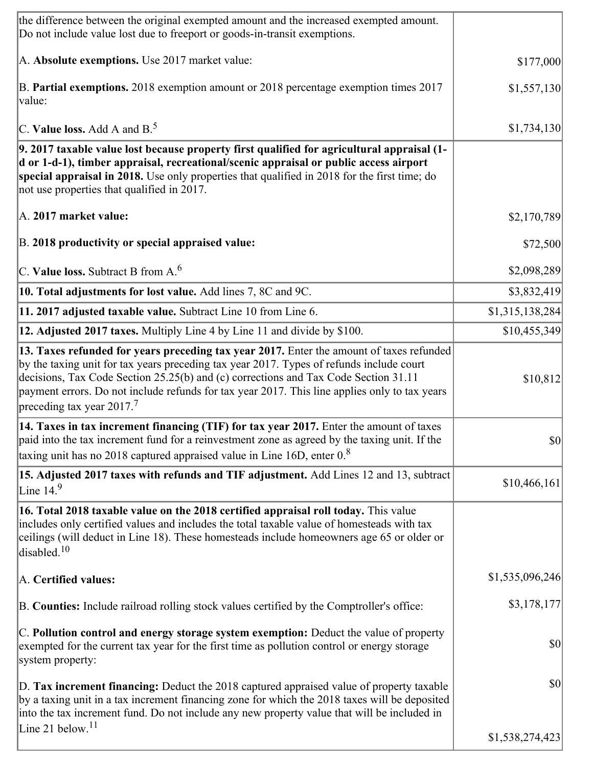| the difference between the original exempted amount and the increased exempted amount.<br>Do not include value lost due to freeport or goods-in-transit exemptions.                                                                                                                                                                                                                                                   |                 |
|-----------------------------------------------------------------------------------------------------------------------------------------------------------------------------------------------------------------------------------------------------------------------------------------------------------------------------------------------------------------------------------------------------------------------|-----------------|
| A. Absolute exemptions. Use 2017 market value:                                                                                                                                                                                                                                                                                                                                                                        | \$177,000       |
| B. Partial exemptions. 2018 exemption amount or 2018 percentage exemption times 2017<br>value:                                                                                                                                                                                                                                                                                                                        | \$1,557,130     |
| C. Value loss. Add A and $B^5$                                                                                                                                                                                                                                                                                                                                                                                        | \$1,734,130     |
| 9. 2017 taxable value lost because property first qualified for agricultural appraisal (1-<br>d or 1-d-1), timber appraisal, recreational/scenic appraisal or public access airport<br>special appraisal in 2018. Use only properties that qualified in 2018 for the first time; do<br>not use properties that qualified in 2017.                                                                                     |                 |
| A. 2017 market value:                                                                                                                                                                                                                                                                                                                                                                                                 | \$2,170,789     |
| B. 2018 productivity or special appraised value:                                                                                                                                                                                                                                                                                                                                                                      | \$72,500        |
| C. Value loss. Subtract B from $A6$                                                                                                                                                                                                                                                                                                                                                                                   | \$2,098,289     |
| 10. Total adjustments for lost value. Add lines 7, 8C and 9C.                                                                                                                                                                                                                                                                                                                                                         | \$3,832,419     |
| 11. 2017 adjusted taxable value. Subtract Line 10 from Line 6.                                                                                                                                                                                                                                                                                                                                                        | \$1,315,138,284 |
| 12. Adjusted 2017 taxes. Multiply Line 4 by Line 11 and divide by \$100.                                                                                                                                                                                                                                                                                                                                              | \$10,455,349    |
| 13. Taxes refunded for years preceding tax year 2017. Enter the amount of taxes refunded<br>by the taxing unit for tax years preceding tax year 2017. Types of refunds include court<br>decisions, Tax Code Section 25.25(b) and (c) corrections and Tax Code Section 31.11<br>payment errors. Do not include refunds for tax year 2017. This line applies only to tax years<br>preceding tax year 2017. <sup>7</sup> | \$10,812        |
| 14. Taxes in tax increment financing (TIF) for tax year 2017. Enter the amount of taxes<br>paid into the tax increment fund for a reinvestment zone as agreed by the taxing unit. If the<br>taxing unit has no 2018 captured appraised value in Line 16D, enter $0.8$                                                                                                                                                 | $ 10\rangle$    |
| 15. Adjusted 2017 taxes with refunds and TIF adjustment. Add Lines 12 and 13, subtract<br>Line $149$                                                                                                                                                                                                                                                                                                                  | \$10,466,161    |
| 16. Total 2018 taxable value on the 2018 certified appraisal roll today. This value<br>includes only certified values and includes the total taxable value of homesteads with tax<br>ceilings (will deduct in Line 18). These homesteads include homeowners age 65 or older or<br>disabled. <sup>10</sup>                                                                                                             |                 |
| A. Certified values:                                                                                                                                                                                                                                                                                                                                                                                                  | \$1,535,096,246 |
| B. Counties: Include railroad rolling stock values certified by the Comptroller's office:                                                                                                                                                                                                                                                                                                                             | \$3,178,177     |
| C. Pollution control and energy storage system exemption: Deduct the value of property<br>exempted for the current tax year for the first time as pollution control or energy storage<br>system property:                                                                                                                                                                                                             | \$0             |
| D. Tax increment financing: Deduct the 2018 captured appraised value of property taxable<br>by a taxing unit in a tax increment financing zone for which the 2018 taxes will be deposited<br>into the tax increment fund. Do not include any new property value that will be included in                                                                                                                              | $ 10\rangle$    |
| Line 21 below. $11$                                                                                                                                                                                                                                                                                                                                                                                                   | \$1,538,274,423 |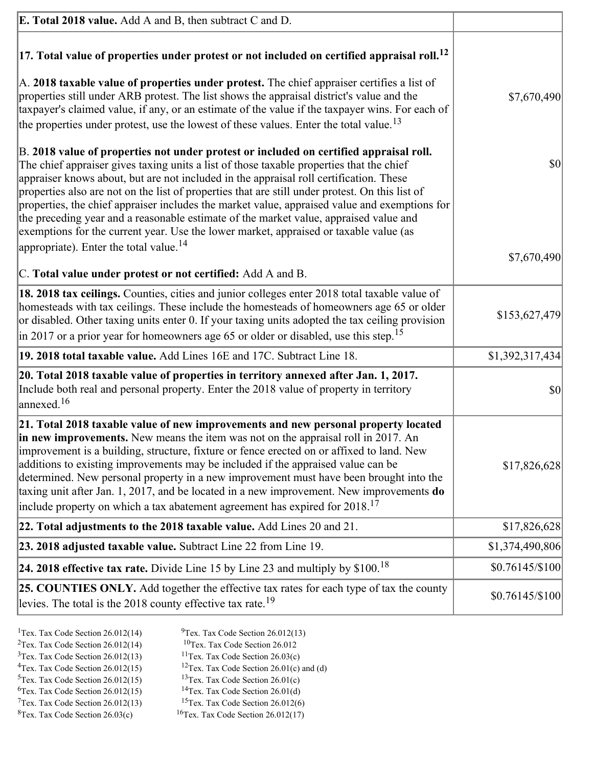| <b>E. Total 2018 value.</b> Add A and B, then subtract C and D.                                                                                                                                                                                                                                                                                                                                                                                                                                                                                                                                                                                                                                                          |                  |
|--------------------------------------------------------------------------------------------------------------------------------------------------------------------------------------------------------------------------------------------------------------------------------------------------------------------------------------------------------------------------------------------------------------------------------------------------------------------------------------------------------------------------------------------------------------------------------------------------------------------------------------------------------------------------------------------------------------------------|------------------|
| $ 17$ . Total value of properties under protest or not included on certified appraisal roll. <sup>12</sup>                                                                                                                                                                                                                                                                                                                                                                                                                                                                                                                                                                                                               |                  |
| A. 2018 taxable value of properties under protest. The chief appraiser certifies a list of<br>properties still under ARB protest. The list shows the appraisal district's value and the<br>taxpayer's claimed value, if any, or an estimate of the value if the taxpayer wins. For each of<br>the properties under protest, use the lowest of these values. Enter the total value. <sup>13</sup>                                                                                                                                                                                                                                                                                                                         | \$7,670,490      |
| B. 2018 value of properties not under protest or included on certified appraisal roll.<br>The chief appraiser gives taxing units a list of those taxable properties that the chief<br>appraiser knows about, but are not included in the appraisal roll certification. These<br>properties also are not on the list of properties that are still under protest. On this list of<br>properties, the chief appraiser includes the market value, appraised value and exemptions for<br>the preceding year and a reasonable estimate of the market value, appraised value and<br>exemptions for the current year. Use the lower market, appraised or taxable value (as<br>appropriate). Enter the total value. <sup>14</sup> | \$0              |
|                                                                                                                                                                                                                                                                                                                                                                                                                                                                                                                                                                                                                                                                                                                          | \$7,670,490      |
| C. Total value under protest or not certified: Add A and B.                                                                                                                                                                                                                                                                                                                                                                                                                                                                                                                                                                                                                                                              |                  |
| 18. 2018 tax ceilings. Counties, cities and junior colleges enter 2018 total taxable value of<br>homesteads with tax ceilings. These include the homesteads of homeowners age 65 or older<br>or disabled. Other taxing units enter 0. If your taxing units adopted the tax ceiling provision<br>$\vert$ in 2017 or a prior year for homeowners age 65 or older or disabled, use this step. <sup>15</sup>                                                                                                                                                                                                                                                                                                                 | \$153,627,479    |
| 19. 2018 total taxable value. Add Lines 16E and 17C. Subtract Line 18.                                                                                                                                                                                                                                                                                                                                                                                                                                                                                                                                                                                                                                                   | \$1,392,317,434  |
| 20. Total 2018 taxable value of properties in territory annexed after Jan. 1, 2017.<br>Include both real and personal property. Enter the 2018 value of property in territory<br>$\text{anne}$ xed. <sup>16</sup>                                                                                                                                                                                                                                                                                                                                                                                                                                                                                                        | \$0              |
| 21. Total 2018 taxable value of new improvements and new personal property located<br>in new improvements. New means the item was not on the appraisal roll in 2017. An<br>improvement is a building, structure, fixture or fence erected on or affixed to land. New<br>additions to existing improvements may be included if the appraised value can be<br>determined. New personal property in a new improvement must have been brought into the<br>taxing unit after Jan. 1, 2017, and be located in a new improvement. New improvements do<br>include property on which a tax abatement agreement has expired for $2018$ . <sup>17</sup>                                                                             | \$17,826,628     |
| 22. Total adjustments to the 2018 taxable value. Add Lines 20 and 21.                                                                                                                                                                                                                                                                                                                                                                                                                                                                                                                                                                                                                                                    | \$17,826,628     |
| 23. 2018 adjusted taxable value. Subtract Line 22 from Line 19.                                                                                                                                                                                                                                                                                                                                                                                                                                                                                                                                                                                                                                                          | \$1,374,490,806  |
| 24. 2018 effective tax rate. Divide Line 15 by Line 23 and multiply by $$100$ . <sup>18</sup>                                                                                                                                                                                                                                                                                                                                                                                                                                                                                                                                                                                                                            | $$0.76145/\$100$ |
| <b>25. COUNTIES ONLY.</b> Add together the effective tax rates for each type of tax the county<br>levies. The total is the 2018 county effective tax rate. <sup>19</sup>                                                                                                                                                                                                                                                                                                                                                                                                                                                                                                                                                 | $$0.76145/\$100$ |
|                                                                                                                                                                                                                                                                                                                                                                                                                                                                                                                                                                                                                                                                                                                          |                  |

- <sup>1</sup>Tex. Tax Code Section 26.012(14) <sup>9</sup>Tex. Tax Code Section 26.012(13) <sup>9</sup>Tex. Tax Code Section 26.012 <sup>2</sup>Tex. Tax Code Section 26.012(14)<br><sup>3</sup>Tex. Tax Code Section 26.012(13)
	-
	-
- <sup>3</sup>Tex. Tax Code Section 26.012(13) <sup>11</sup>Tex. Tax Code Section 26.03(c) <sup>4</sup>Tex. Tax Code Section 26.01(c)
	-
- 
- <sup>6</sup>Tex. Tax Code Section 26.012(15)<br><sup>7</sup>Tex. Tax Code Section 26.012(13)
- 
- 
- <sup>4</sup>Tex. Tax Code Section 26.012(15) <sup>12</sup>Tex. Tax Code Section 26.01(c) and (d)<br><sup>5</sup>Tex. Tax Code Section 26.012(15) <sup>13</sup>Tex. Tax Code Section 26.01(c)
	- <sup>13</sup>Tex. Tax Code Section 26.01(c) <sup>14</sup>Tex. Tax Code Section 26.01(d)
	-
- <sup>7</sup>Tex. Tax Code Section 26.012(13) <sup>15</sup>Tex. Tax Code Section 26.012(6)<br><sup>8</sup>Tex. Tax Code Section 26.03(c) <sup>16</sup>Tex. Tax Code Section 26.012(17)
	- $16$ Tex. Tax Code Section 26.012(17)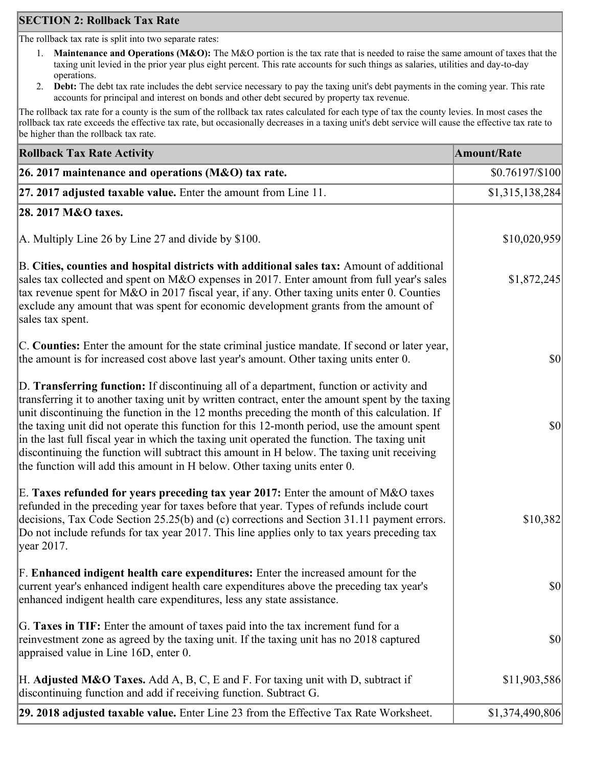## **SECTION 2: Rollback Tax Rate**

The rollback tax rate is split into two separate rates:

- 1. **Maintenance and Operations (M&O):** The M&O portion is the tax rate that is needed to raise the same amount of taxes that the taxing unit levied in the prior year plus eight percent. This rate accounts for such things as salaries, utilities and day-to-day operations.
- 2. **Debt:** The debt tax rate includes the debt service necessary to pay the taxing unit's debt payments in the coming year. This rate accounts for principal and interest on bonds and other debt secured by property tax revenue.

The rollback tax rate for a county is the sum of the rollback tax rates calculated for each type of tax the county levies. In most cases the rollback tax rate exceeds the effective tax rate, but occasionally decreases in a taxing unit's debt service will cause the effective tax rate to be higher than the rollback tax rate.

| <b>Rollback Tax Rate Activity</b>                                                                                                                                                                                                                                                                                                                                                                                                                                                                                                                                                                                                                                       | <b>Amount/Rate</b> |
|-------------------------------------------------------------------------------------------------------------------------------------------------------------------------------------------------------------------------------------------------------------------------------------------------------------------------------------------------------------------------------------------------------------------------------------------------------------------------------------------------------------------------------------------------------------------------------------------------------------------------------------------------------------------------|--------------------|
| 26. 2017 maintenance and operations ( $M&O$ ) tax rate.                                                                                                                                                                                                                                                                                                                                                                                                                                                                                                                                                                                                                 | $$0.76197/\$100$   |
| 27. 2017 adjusted taxable value. Enter the amount from Line 11.                                                                                                                                                                                                                                                                                                                                                                                                                                                                                                                                                                                                         | \$1,315,138,284    |
| 28. 2017 M&O taxes.                                                                                                                                                                                                                                                                                                                                                                                                                                                                                                                                                                                                                                                     |                    |
| A. Multiply Line 26 by Line 27 and divide by $$100$ .                                                                                                                                                                                                                                                                                                                                                                                                                                                                                                                                                                                                                   | \$10,020,959       |
| B. Cities, counties and hospital districts with additional sales tax: Amount of additional<br>sales tax collected and spent on M&O expenses in 2017. Enter amount from full year's sales<br>tax revenue spent for M&O in 2017 fiscal year, if any. Other taxing units enter 0. Counties<br>exclude any amount that was spent for economic development grants from the amount of<br>sales tax spent.                                                                                                                                                                                                                                                                     | \$1,872,245        |
| C. Counties: Enter the amount for the state criminal justice mandate. If second or later year,<br>the amount is for increased cost above last year's amount. Other taxing units enter 0.                                                                                                                                                                                                                                                                                                                                                                                                                                                                                | $ 10\rangle$       |
| D. Transferring function: If discontinuing all of a department, function or activity and<br>transferring it to another taxing unit by written contract, enter the amount spent by the taxing<br>unit discontinuing the function in the 12 months preceding the month of this calculation. If<br>the taxing unit did not operate this function for this 12-month period, use the amount spent<br>in the last full fiscal year in which the taxing unit operated the function. The taxing unit<br>discontinuing the function will subtract this amount in H below. The taxing unit receiving<br>the function will add this amount in H below. Other taxing units enter 0. | $ 10\rangle$       |
| E. Taxes refunded for years preceding tax year 2017: Enter the amount of M&O taxes<br>refunded in the preceding year for taxes before that year. Types of refunds include court<br>decisions, Tax Code Section 25.25(b) and (c) corrections and Section 31.11 payment errors.<br>Do not include refunds for tax year 2017. This line applies only to tax years preceding tax<br> year 2017.                                                                                                                                                                                                                                                                             | \$10,382           |
| F. Enhanced indigent health care expenditures: Enter the increased amount for the<br>current year's enhanced indigent health care expenditures above the preceding tax year's<br>enhanced indigent health care expenditures, less any state assistance.                                                                                                                                                                                                                                                                                                                                                                                                                 | <b>\$0</b>         |
| G. Taxes in TIF: Enter the amount of taxes paid into the tax increment fund for a<br>reinvestment zone as agreed by the taxing unit. If the taxing unit has no 2018 captured<br>appraised value in Line 16D, enter 0.                                                                                                                                                                                                                                                                                                                                                                                                                                                   | $ 10\rangle$       |
| H. Adjusted M&O Taxes. Add A, B, C, E and F. For taxing unit with D, subtract if<br>discontinuing function and add if receiving function. Subtract G.                                                                                                                                                                                                                                                                                                                                                                                                                                                                                                                   | \$11,903,586       |
| 29. 2018 adjusted taxable value. Enter Line 23 from the Effective Tax Rate Worksheet.                                                                                                                                                                                                                                                                                                                                                                                                                                                                                                                                                                                   | \$1,374,490,806    |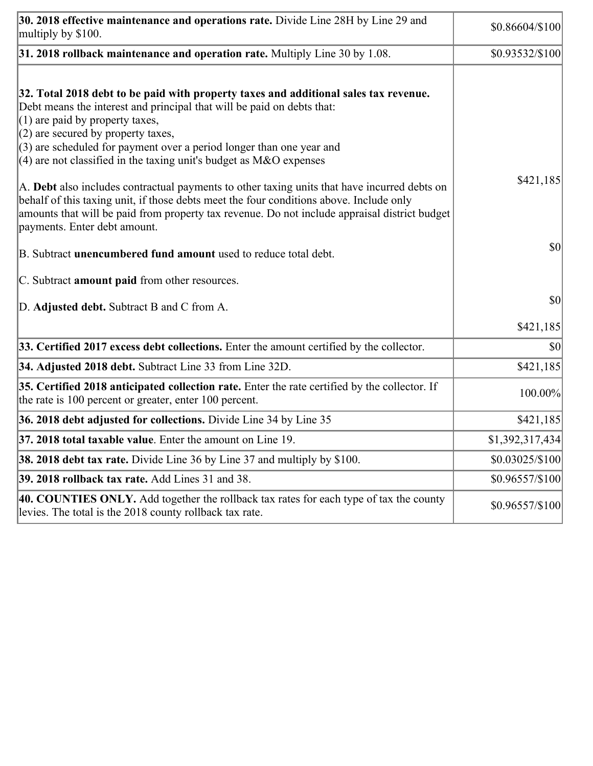| 30. 2018 effective maintenance and operations rate. Divide Line 28H by Line 29 and<br>multiply by \$100.                                                                                                                                                                                                                                                                                                                                                                                                                                                                                                                                                                                                                  | \$0.86604/\$100 |
|---------------------------------------------------------------------------------------------------------------------------------------------------------------------------------------------------------------------------------------------------------------------------------------------------------------------------------------------------------------------------------------------------------------------------------------------------------------------------------------------------------------------------------------------------------------------------------------------------------------------------------------------------------------------------------------------------------------------------|-----------------|
| $31.2018$ rollback maintenance and operation rate. Multiply Line 30 by 1.08.                                                                                                                                                                                                                                                                                                                                                                                                                                                                                                                                                                                                                                              | \$0.93532/\$100 |
| 32. Total 2018 debt to be paid with property taxes and additional sales tax revenue.<br>Debt means the interest and principal that will be paid on debts that:<br>$(1)$ are paid by property taxes,<br>$(2)$ are secured by property taxes,<br>$(3)$ are scheduled for payment over a period longer than one year and<br>$(4)$ are not classified in the taxing unit's budget as M&O expenses<br>A. Debt also includes contractual payments to other taxing units that have incurred debts on<br>behalf of this taxing unit, if those debts meet the four conditions above. Include only<br>amounts that will be paid from property tax revenue. Do not include appraisal district budget<br>payments. Enter debt amount. | \$421,185       |
| B. Subtract unencumbered fund amount used to reduce total debt.                                                                                                                                                                                                                                                                                                                                                                                                                                                                                                                                                                                                                                                           | \$0             |
| C. Subtract amount paid from other resources.                                                                                                                                                                                                                                                                                                                                                                                                                                                                                                                                                                                                                                                                             |                 |
| D. Adjusted debt. Subtract B and C from A.                                                                                                                                                                                                                                                                                                                                                                                                                                                                                                                                                                                                                                                                                | \$0             |
|                                                                                                                                                                                                                                                                                                                                                                                                                                                                                                                                                                                                                                                                                                                           | \$421,185       |
| 33. Certified 2017 excess debt collections. Enter the amount certified by the collector.                                                                                                                                                                                                                                                                                                                                                                                                                                                                                                                                                                                                                                  | \$0             |
| 34. Adjusted 2018 debt. Subtract Line 33 from Line 32D.                                                                                                                                                                                                                                                                                                                                                                                                                                                                                                                                                                                                                                                                   | \$421,185       |
| 35. Certified 2018 anticipated collection rate. Enter the rate certified by the collector. If<br>the rate is 100 percent or greater, enter 100 percent.                                                                                                                                                                                                                                                                                                                                                                                                                                                                                                                                                                   | 100.00%         |
| 36. 2018 debt adjusted for collections. Divide Line 34 by Line 35                                                                                                                                                                                                                                                                                                                                                                                                                                                                                                                                                                                                                                                         | \$421,185       |
| <b>37. 2018 total taxable value.</b> Enter the amount on Line 19.                                                                                                                                                                                                                                                                                                                                                                                                                                                                                                                                                                                                                                                         | \$1,392,317,434 |
| <b>38. 2018 debt tax rate.</b> Divide Line 36 by Line 37 and multiply by \$100.                                                                                                                                                                                                                                                                                                                                                                                                                                                                                                                                                                                                                                           | \$0.03025/\$100 |
| 39. 2018 rollback tax rate. Add Lines 31 and 38.                                                                                                                                                                                                                                                                                                                                                                                                                                                                                                                                                                                                                                                                          | \$0.96557/\$100 |
| 40. COUNTIES ONLY. Add together the rollback tax rates for each type of tax the county<br>levies. The total is the 2018 county rollback tax rate.                                                                                                                                                                                                                                                                                                                                                                                                                                                                                                                                                                         | \$0.96557/\$100 |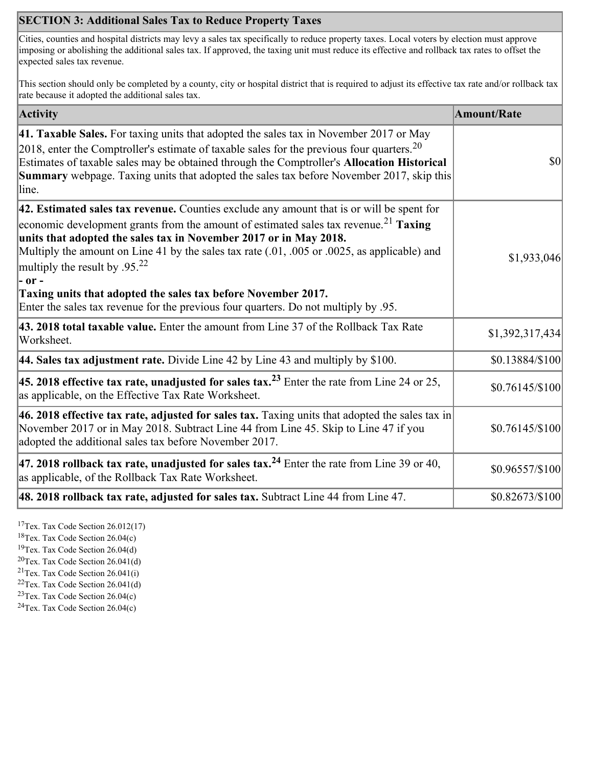## **SECTION 3: Additional Sales Tax to Reduce Property Taxes**

Cities, counties and hospital districts may levy a sales tax specifically to reduce property taxes. Local voters by election must approve imposing or abolishing the additional sales tax. If approved, the taxing unit must reduce its effective and rollback tax rates to offset the expected sales tax revenue.

This section should only be completed by a county, city or hospital district that is required to adjust its effective tax rate and/or rollback tax rate because it adopted the additional sales tax.

| <b>Activity</b>                                                                                                                                                                                                                                                                                                                                                                                                                                                                             | <b>Amount/Rate</b> |
|---------------------------------------------------------------------------------------------------------------------------------------------------------------------------------------------------------------------------------------------------------------------------------------------------------------------------------------------------------------------------------------------------------------------------------------------------------------------------------------------|--------------------|
| 41. Taxable Sales. For taxing units that adopted the sales tax in November 2017 or May<br>2018, enter the Comptroller's estimate of taxable sales for the previous four quarters. <sup>20</sup><br>Estimates of taxable sales may be obtained through the Comptroller's Allocation Historical<br>Summary webpage. Taxing units that adopted the sales tax before November 2017, skip this<br>line.                                                                                          | \$0                |
| 42. Estimated sales tax revenue. Counties exclude any amount that is or will be spent for<br>economic development grants from the amount of estimated sales tax revenue. <sup>21</sup> Taxing<br>units that adopted the sales tax in November 2017 or in May 2018.<br>Multiply the amount on Line 41 by the sales tax rate (.01, .005 or .0025, as applicable) and<br>multiply the result by .95. <sup>22</sup><br> - or -<br>Taxing units that adopted the sales tax before November 2017. | \$1,933,046        |
| Enter the sales tax revenue for the previous four quarters. Do not multiply by .95.<br>43. 2018 total taxable value. Enter the amount from Line 37 of the Rollback Tax Rate<br>Worksheet.                                                                                                                                                                                                                                                                                                   | \$1,392,317,434    |
| <b>44. Sales tax adjustment rate.</b> Divide Line 42 by Line 43 and multiply by \$100.                                                                                                                                                                                                                                                                                                                                                                                                      | \$0.13884/\$100    |
| 45. 2018 effective tax rate, unadjusted for sales tax. <sup>23</sup> Enter the rate from Line 24 or 25,<br>as applicable, on the Effective Tax Rate Worksheet.                                                                                                                                                                                                                                                                                                                              | \$0.76145/\$100    |
| 46. 2018 effective tax rate, adjusted for sales tax. Taxing units that adopted the sales tax in<br>November 2017 or in May 2018. Subtract Line 44 from Line 45. Skip to Line 47 if you<br>adopted the additional sales tax before November 2017.                                                                                                                                                                                                                                            | \$0.76145/\$100    |
| 47. 2018 rollback tax rate, unadjusted for sales tax. <sup>24</sup> Enter the rate from Line 39 or 40,<br>as applicable, of the Rollback Tax Rate Worksheet.                                                                                                                                                                                                                                                                                                                                | \$0.96557/\$100    |
| 48. 2018 rollback tax rate, adjusted for sales tax. Subtract Line 44 from Line 47.                                                                                                                                                                                                                                                                                                                                                                                                          | \$0.82673/\$100    |

<sup>17</sup>Tex. Tax Code Section 26.012(17)

<sup>18</sup>Tex. Tax Code Section 26.04(c)

<sup>19</sup>Tex. Tax Code Section 26.04(d)

 $20$ Tex. Tax Code Section 26.041(d)

<sup>21</sup>Tex. Tax Code Section  $26.041(i)$ 

 $22$ Tex. Tax Code Section 26.041(d)

 $23$ Tex. Tax Code Section 26.04(c)  $24$ Tex. Tax Code Section 26.04(c)